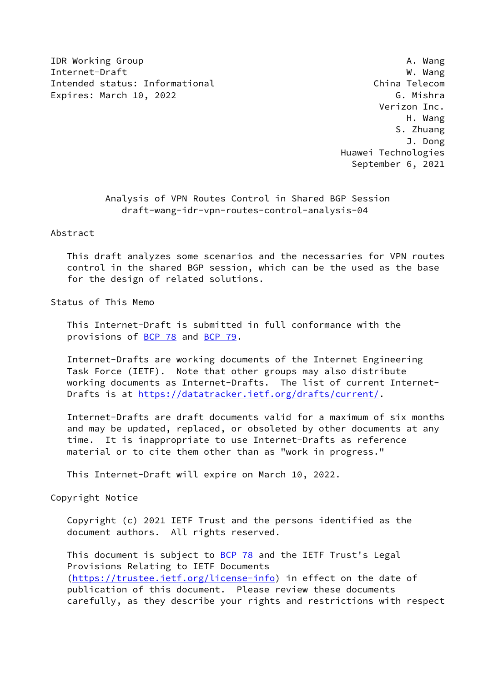IDR Working Group **A. Wang** Internet-Draft W. Wang Intended status: Informational China Telecom Expires: March 10, 2022 **G. Mishra** 

 Verizon Inc. H. Wang S. Zhuang J. Dong Huawei Technologies September 6, 2021

> Analysis of VPN Routes Control in Shared BGP Session draft-wang-idr-vpn-routes-control-analysis-04

Abstract

 This draft analyzes some scenarios and the necessaries for VPN routes control in the shared BGP session, which can be the used as the base for the design of related solutions.

Status of This Memo

 This Internet-Draft is submitted in full conformance with the provisions of [BCP 78](https://datatracker.ietf.org/doc/pdf/bcp78) and [BCP 79](https://datatracker.ietf.org/doc/pdf/bcp79).

 Internet-Drafts are working documents of the Internet Engineering Task Force (IETF). Note that other groups may also distribute working documents as Internet-Drafts. The list of current Internet- Drafts is at<https://datatracker.ietf.org/drafts/current/>.

 Internet-Drafts are draft documents valid for a maximum of six months and may be updated, replaced, or obsoleted by other documents at any time. It is inappropriate to use Internet-Drafts as reference material or to cite them other than as "work in progress."

This Internet-Draft will expire on March 10, 2022.

Copyright Notice

 Copyright (c) 2021 IETF Trust and the persons identified as the document authors. All rights reserved.

This document is subject to **[BCP 78](https://datatracker.ietf.org/doc/pdf/bcp78)** and the IETF Trust's Legal Provisions Relating to IETF Documents [\(https://trustee.ietf.org/license-info](https://trustee.ietf.org/license-info)) in effect on the date of publication of this document. Please review these documents carefully, as they describe your rights and restrictions with respect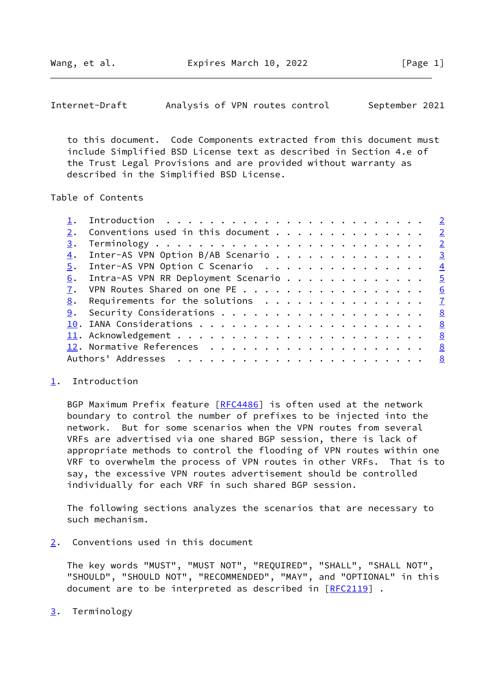<span id="page-1-1"></span>

| Internet-Draft | Analysis of VPN routes control |  |  | September 2021 |  |
|----------------|--------------------------------|--|--|----------------|--|
|----------------|--------------------------------|--|--|----------------|--|

 to this document. Code Components extracted from this document must include Simplified BSD License text as described in Section 4.e of the Trust Legal Provisions and are provided without warranty as described in the Simplified BSD License.

Table of Contents

|    | Conventions used in this document $\frac{2}{3}$                      |                            |
|----|----------------------------------------------------------------------|----------------------------|
| 3. |                                                                      | $\overline{\phantom{0}}^2$ |
| 4. | Inter-AS VPN Option B/AB Scenario                                    | $\overline{\mathbf{3}}$    |
| 5. | Inter-AS VPN Option C Scenario                                       | $\overline{4}$             |
| 6. | Intra-AS VPN RR Deployment Scenario 5                                |                            |
| 7. | VPN Routes Shared on one PE 6                                        |                            |
| 8. | Requirements for the solutions $\dots \dots \dots \dots \dots \dots$ |                            |
| 9. | Security Considerations 8                                            |                            |
|    |                                                                      |                            |
|    |                                                                      |                            |
|    |                                                                      | <u>8</u>                   |
|    |                                                                      |                            |
|    |                                                                      |                            |

## <span id="page-1-0"></span>[1](#page-1-0). Introduction

BGP Maximum Prefix feature [[RFC4486\]](https://datatracker.ietf.org/doc/pdf/rfc4486) is often used at the network boundary to control the number of prefixes to be injected into the network. But for some scenarios when the VPN routes from several VRFs are advertised via one shared BGP session, there is lack of appropriate methods to control the flooding of VPN routes within one VRF to overwhelm the process of VPN routes in other VRFs. That is to say, the excessive VPN routes advertisement should be controlled individually for each VRF in such shared BGP session.

 The following sections analyzes the scenarios that are necessary to such mechanism.

<span id="page-1-2"></span>[2](#page-1-2). Conventions used in this document

 The key words "MUST", "MUST NOT", "REQUIRED", "SHALL", "SHALL NOT", "SHOULD", "SHOULD NOT", "RECOMMENDED", "MAY", and "OPTIONAL" in this document are to be interpreted as described in  $[REC2119]$ .

<span id="page-1-3"></span>[3](#page-1-3). Terminology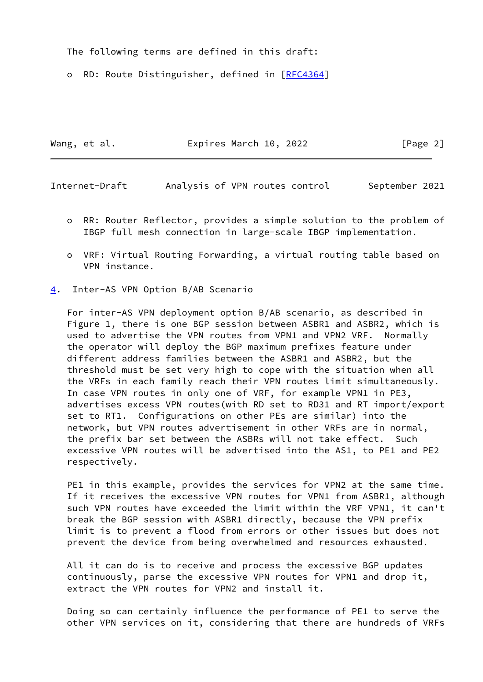The following terms are defined in this draft:

o RD: Route Distinguisher, defined in [\[RFC4364](https://datatracker.ietf.org/doc/pdf/rfc4364)]

Wang, et al. **Expires March 10, 2022** [Page 2]

<span id="page-2-1"></span>Internet-Draft Analysis of VPN routes control September 2021

- o RR: Router Reflector, provides a simple solution to the problem of IBGP full mesh connection in large-scale IBGP implementation.
- o VRF: Virtual Routing Forwarding, a virtual routing table based on VPN instance.
- <span id="page-2-0"></span>[4](#page-2-0). Inter-AS VPN Option B/AB Scenario

 For inter-AS VPN deployment option B/AB scenario, as described in Figure 1, there is one BGP session between ASBR1 and ASBR2, which is used to advertise the VPN routes from VPN1 and VPN2 VRF. Normally the operator will deploy the BGP maximum prefixes feature under different address families between the ASBR1 and ASBR2, but the threshold must be set very high to cope with the situation when all the VRFs in each family reach their VPN routes limit simultaneously. In case VPN routes in only one of VRF, for example VPN1 in PE3, advertises excess VPN routes(with RD set to RD31 and RT import/export set to RT1. Configurations on other PEs are similar) into the network, but VPN routes advertisement in other VRFs are in normal, the prefix bar set between the ASBRs will not take effect. Such excessive VPN routes will be advertised into the AS1, to PE1 and PE2 respectively.

PE1 in this example, provides the services for VPN2 at the same time. If it receives the excessive VPN routes for VPN1 from ASBR1, although such VPN routes have exceeded the limit within the VRF VPN1, it can't break the BGP session with ASBR1 directly, because the VPN prefix limit is to prevent a flood from errors or other issues but does not prevent the device from being overwhelmed and resources exhausted.

 All it can do is to receive and process the excessive BGP updates continuously, parse the excessive VPN routes for VPN1 and drop it, extract the VPN routes for VPN2 and install it.

 Doing so can certainly influence the performance of PE1 to serve the other VPN services on it, considering that there are hundreds of VRFs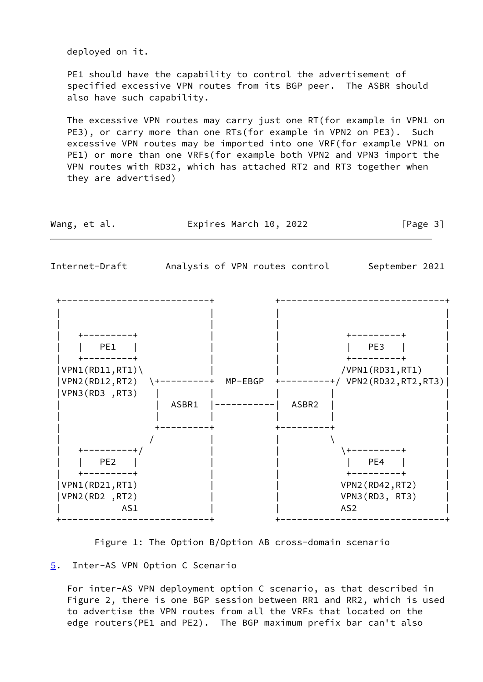deployed on it.

 PE1 should have the capability to control the advertisement of specified excessive VPN routes from its BGP peer. The ASBR should also have such capability.

 The excessive VPN routes may carry just one RT(for example in VPN1 on PE3), or carry more than one RTs(for example in VPN2 on PE3). Such excessive VPN routes may be imported into one VRF(for example VPN1 on PE1) or more than one VRFs(for example both VPN2 and VPN3 import the VPN routes with RD32, which has attached RT2 and RT3 together when they are advertised)

<span id="page-3-1"></span>

| Wang, et al.                                                                        | Expires March 10, 2022         | [Page 3]                                                                                                |
|-------------------------------------------------------------------------------------|--------------------------------|---------------------------------------------------------------------------------------------------------|
| Internet-Draft                                                                      | Analysis of VPN routes control | September 2021                                                                                          |
| +---------+<br>PE1<br>VPN1(RD11, RT1)<br>VPN2 (RD12, RT2)<br>VPN3(RD3, RT3)         | MP-EBGP<br>--------<br>ASBR1   | +--------<br>PE3<br>+-----<br>/VPN1(RD31,RT1)<br>$+-----++/ VPN2 (RD32, RT2, RT3)$<br>ASBR <sub>2</sub> |
| ---------+/<br>PE <sub>2</sub><br>-------<br>VPN1(RD21,RT1)<br>VPN2(RD2,RT2)<br>AS1 |                                | PE4<br>VPN2 (RD42, RT2)<br>VPN3(RD3, RT3)<br>AS <sub>2</sub>                                            |

Figure 1: The Option B/Option AB cross-domain scenario

## <span id="page-3-0"></span>[5](#page-3-0). Inter-AS VPN Option C Scenario

 For inter-AS VPN deployment option C scenario, as that described in Figure 2, there is one BGP session between RR1 and RR2, which is used to advertise the VPN routes from all the VRFs that located on the edge routers(PE1 and PE2). The BGP maximum prefix bar can't also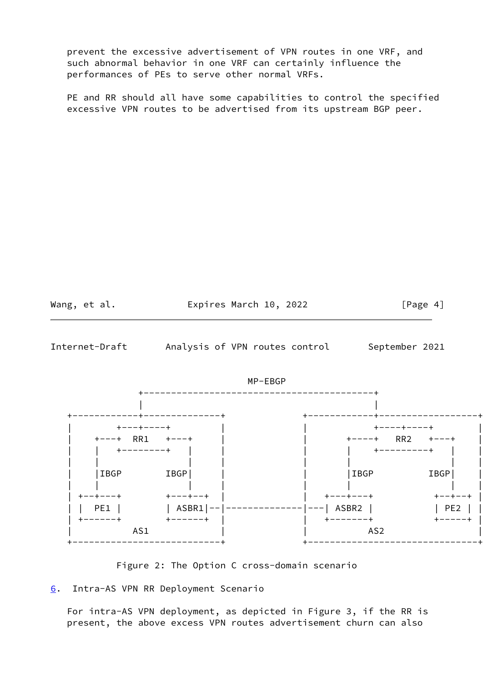prevent the excessive advertisement of VPN routes in one VRF, and such abnormal behavior in one VRF can certainly influence the performances of PEs to serve other normal VRFs.

 PE and RR should all have some capabilities to control the specified excessive VPN routes to be advertised from its upstream BGP peer.



<span id="page-4-1"></span>Internet-Draft Analysis of VPN routes control September 2021



Figure 2: The Option C cross-domain scenario

<span id="page-4-0"></span>[6](#page-4-0). Intra-AS VPN RR Deployment Scenario

 For intra-AS VPN deployment, as depicted in Figure 3, if the RR is present, the above excess VPN routes advertisement churn can also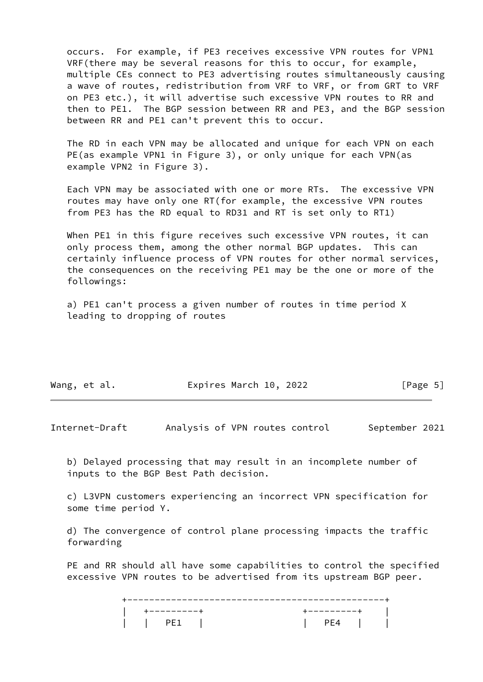occurs. For example, if PE3 receives excessive VPN routes for VPN1 VRF(there may be several reasons for this to occur, for example, multiple CEs connect to PE3 advertising routes simultaneously causing a wave of routes, redistribution from VRF to VRF, or from GRT to VRF on PE3 etc.), it will advertise such excessive VPN routes to RR and then to PE1. The BGP session between RR and PE3, and the BGP session between RR and PE1 can't prevent this to occur.

 The RD in each VPN may be allocated and unique for each VPN on each PE(as example VPN1 in Figure 3), or only unique for each VPN(as example VPN2 in Figure 3).

 Each VPN may be associated with one or more RTs. The excessive VPN routes may have only one RT(for example, the excessive VPN routes from PE3 has the RD equal to RD31 and RT is set only to RT1)

When PE1 in this figure receives such excessive VPN routes, it can only process them, among the other normal BGP updates. This can certainly influence process of VPN routes for other normal services, the consequences on the receiving PE1 may be the one or more of the followings:

 a) PE1 can't process a given number of routes in time period X leading to dropping of routes

| Wang, et al. | Expires March 10, 2022 | [Page 5] |
|--------------|------------------------|----------|
|              |                        |          |

<span id="page-5-0"></span>Internet-Draft Analysis of VPN routes control September 2021

 b) Delayed processing that may result in an incomplete number of inputs to the BGP Best Path decision.

 c) L3VPN customers experiencing an incorrect VPN specification for some time period Y.

 d) The convergence of control plane processing impacts the traffic forwarding

 PE and RR should all have some capabilities to control the specified excessive VPN routes to be advertised from its upstream BGP peer.

 +-----------------------------------------------+ | +---------+ +---------+ | | | PE1 | | PE4 | |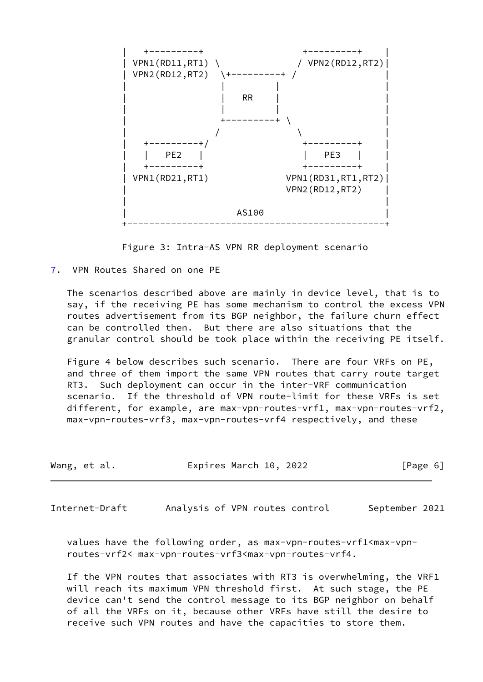

Figure 3: Intra-AS VPN RR deployment scenario

<span id="page-6-0"></span>[7](#page-6-0). VPN Routes Shared on one PE

 The scenarios described above are mainly in device level, that is to say, if the receiving PE has some mechanism to control the excess VPN routes advertisement from its BGP neighbor, the failure churn effect can be controlled then. But there are also situations that the granular control should be took place within the receiving PE itself.

 Figure 4 below describes such scenario. There are four VRFs on PE, and three of them import the same VPN routes that carry route target RT3. Such deployment can occur in the inter-VRF communication scenario. If the threshold of VPN route-limit for these VRFs is set different, for example, are max-vpn-routes-vrf1, max-vpn-routes-vrf2, max-vpn-routes-vrf3, max-vpn-routes-vrf4 respectively, and these

| Wang, et al. | Expires March 10, 2022 | [Page 6] |
|--------------|------------------------|----------|
|              |                        |          |

<span id="page-6-1"></span>Internet-Draft Analysis of VPN routes control September 2021

 values have the following order, as max-vpn-routes-vrf1<max-vpn routes-vrf2< max-vpn-routes-vrf3<max-vpn-routes-vrf4.

 If the VPN routes that associates with RT3 is overwhelming, the VRF1 will reach its maximum VPN threshold first. At such stage, the PE device can't send the control message to its BGP neighbor on behalf of all the VRFs on it, because other VRFs have still the desire to receive such VPN routes and have the capacities to store them.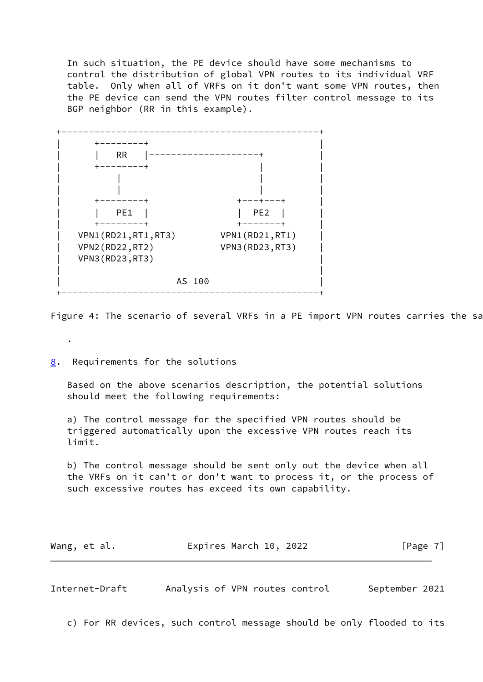In such situation, the PE device should have some mechanisms to control the distribution of global VPN routes to its individual VRF table. Only when all of VRFs on it don't want some VPN routes, then the PE device can send the VPN routes filter control message to its BGP neighbor (RR in this example).



Figure 4: The scenario of several VRFs in a PE import VPN routes carries the sa

<span id="page-7-0"></span>[8](#page-7-0). Requirements for the solutions

.

 Based on the above scenarios description, the potential solutions should meet the following requirements:

 a) The control message for the specified VPN routes should be triggered automatically upon the excessive VPN routes reach its limit.

 b) The control message should be sent only out the device when all the VRFs on it can't or don't want to process it, or the process of such excessive routes has exceed its own capability.

| Wang, et al. | Expires March 10, 2022 | [Page 7] |
|--------------|------------------------|----------|
|--------------|------------------------|----------|

<span id="page-7-1"></span>Internet-Draft Analysis of VPN routes control September 2021

c) For RR devices, such control message should be only flooded to its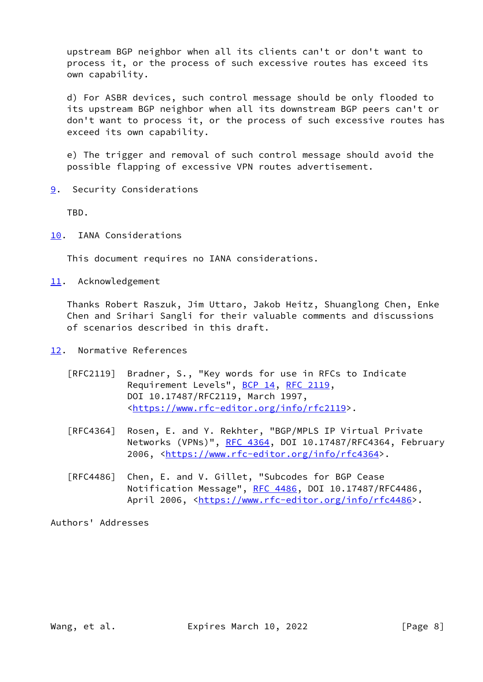upstream BGP neighbor when all its clients can't or don't want to process it, or the process of such excessive routes has exceed its own capability.

 d) For ASBR devices, such control message should be only flooded to its upstream BGP neighbor when all its downstream BGP peers can't or don't want to process it, or the process of such excessive routes has exceed its own capability.

 e) The trigger and removal of such control message should avoid the possible flapping of excessive VPN routes advertisement.

<span id="page-8-0"></span>[9](#page-8-0). Security Considerations

TBD.

<span id="page-8-1"></span>[10.](#page-8-1) IANA Considerations

This document requires no IANA considerations.

<span id="page-8-2"></span>[11.](#page-8-2) Acknowledgement

 Thanks Robert Raszuk, Jim Uttaro, Jakob Heitz, Shuanglong Chen, Enke Chen and Srihari Sangli for their valuable comments and discussions of scenarios described in this draft.

- <span id="page-8-3"></span>[12.](#page-8-3) Normative References
	- [RFC2119] Bradner, S., "Key words for use in RFCs to Indicate Requirement Levels", [BCP 14](https://datatracker.ietf.org/doc/pdf/bcp14), [RFC 2119](https://datatracker.ietf.org/doc/pdf/rfc2119), DOI 10.17487/RFC2119, March 1997, <[https://www.rfc-editor.org/info/rfc2119>](https://www.rfc-editor.org/info/rfc2119).
	- [RFC4364] Rosen, E. and Y. Rekhter, "BGP/MPLS IP Virtual Private Networks (VPNs)", [RFC 4364](https://datatracker.ietf.org/doc/pdf/rfc4364), DOI 10.17487/RFC4364, February 2006, [<https://www.rfc-editor.org/info/rfc4364](https://www.rfc-editor.org/info/rfc4364)>.
	- [RFC4486] Chen, E. and V. Gillet, "Subcodes for BGP Cease Notification Message", [RFC 4486](https://datatracker.ietf.org/doc/pdf/rfc4486), DOI 10.17487/RFC4486, April 2006, [<https://www.rfc-editor.org/info/rfc4486](https://www.rfc-editor.org/info/rfc4486)>.

Authors' Addresses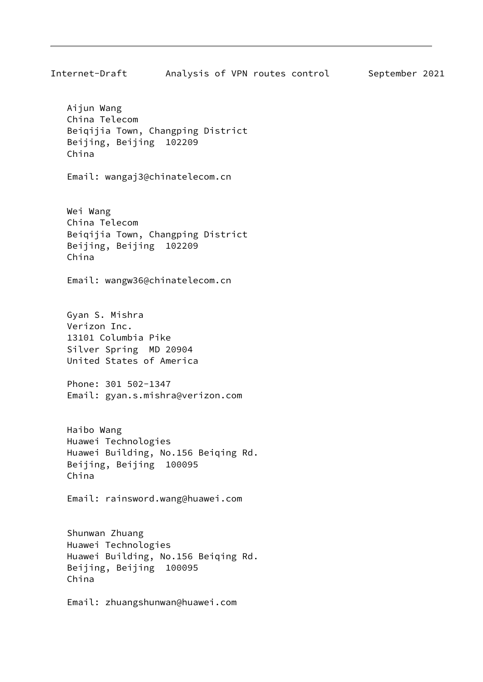Internet-Draft Analysis of VPN routes control September 2021 Aijun Wang China Telecom Beiqijia Town, Changping District Beijing, Beijing 102209 China Email: wangaj3@chinatelecom.cn Wei Wang China Telecom Beiqijia Town, Changping District Beijing, Beijing 102209 China Email: wangw36@chinatelecom.cn Gyan S. Mishra Verizon Inc. 13101 Columbia Pike Silver Spring MD 20904 United States of America Phone: 301 502-1347 Email: gyan.s.mishra@verizon.com Haibo Wang Huawei Technologies Huawei Building, No.156 Beiqing Rd. Beijing, Beijing 100095 China Email: rainsword.wang@huawei.com Shunwan Zhuang Huawei Technologies Huawei Building, No.156 Beiqing Rd. Beijing, Beijing 100095 China Email: zhuangshunwan@huawei.com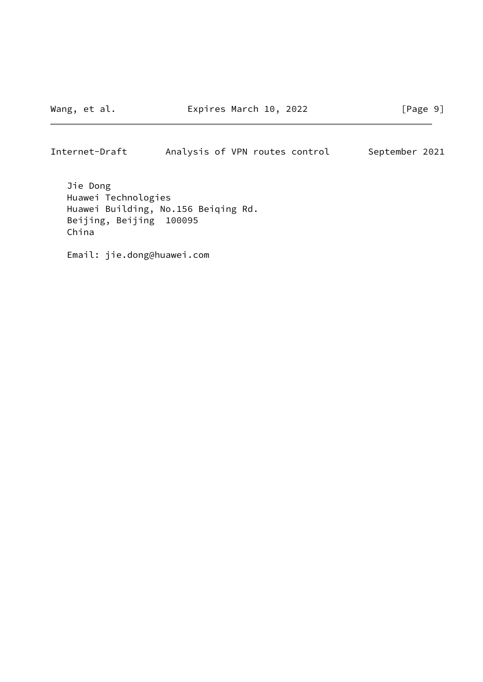## Internet-Draft Analysis of VPN routes control September 2021

 Jie Dong Huawei Technologies Huawei Building, No.156 Beiqing Rd. Beijing, Beijing 100095 China

Email: jie.dong@huawei.com